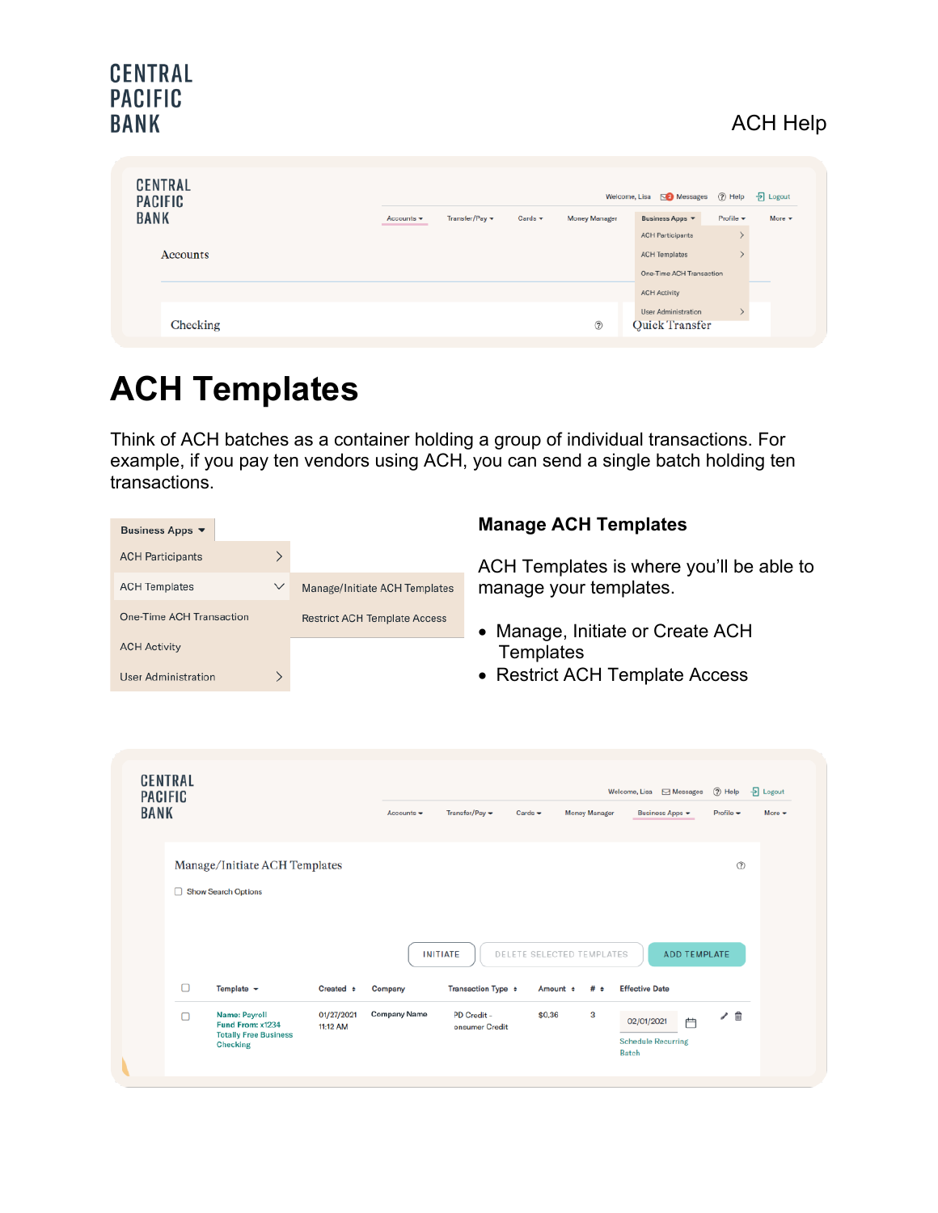### CENTRAL **PACIFIC BANK**

## ACH Help

| <b>CENTRAL</b><br><b>PACIFIC</b> |                                |                |                             |                      | Welcome, Lisa $\overline{\mathbb{Z}}$ Messages $\overline{?}$ Help |                              | $\frac{1}{2}$ Logout |
|----------------------------------|--------------------------------|----------------|-----------------------------|----------------------|--------------------------------------------------------------------|------------------------------|----------------------|
| <b>BANK</b>                      | Accounts $\blacktriangleright$ | Transfer/Pay v | Cards $\blacktriangleright$ | <b>Money Manager</b> | Business Apps                                                      | Profile $\blacktriangledown$ | More $\star$         |
|                                  |                                |                |                             |                      | <b>ACH Participants</b>                                            |                              |                      |
| Accounts                         |                                |                |                             |                      | <b>ACH Templates</b>                                               |                              |                      |
|                                  |                                |                |                             |                      | One-Time ACH Transaction                                           |                              |                      |
|                                  |                                |                |                             |                      | <b>ACH Activity</b>                                                |                              |                      |
|                                  |                                |                |                             |                      | <b>User Administration</b>                                         |                              |                      |
| Checking                         |                                |                |                             | $\circledR$          | <b>Quick Transfer</b>                                              |                              |                      |

# **ACH Templates**

Think of ACH batches as a container holding a group of individual transactions. For example, if you pay ten vendors using ACH, you can send a single batch holding ten transactions.

| $\rm{>}$<br><b>ACH Participants</b><br>ACH Templates is where you'll be able to<br>manage your templates.<br><b>ACH Templates</b><br>$\checkmark$<br>Manage/Initiate ACH Templates<br>One-Time ACH Transaction<br><b>Restrict ACH Template Access</b><br>Manage, Initiate or Create ACH<br>$\bullet$<br><b>ACH Activity</b><br>Templates<br>• Restrict ACH Template Access<br>ゝ<br><b>User Administration</b><br><b>CENTRAL</b><br>뒨<br>$(2)$ Help<br>Logout<br>Welcome, Lisa <b>○</b> Messages<br><b>PACIFIC</b><br><b>BANK</b><br>Transfer/Pay $\blacktriangledown$<br>Cards $\blacktriangledown$<br><b>Money Manager</b><br>Business Apps v<br>Profile v<br>Accounts $\blacktriangledown$<br>More v<br>Manage/Initiate ACH Templates<br>$^{\circ}$<br>Show Search Options<br>DELETE SELECTED TEMPLATES<br><b>ADD TEMPLATE</b><br><b>INITIATE</b><br>О<br>Template $\sim$<br>Created $\div$<br>Transaction Type $\div$<br><b>Effective Date</b><br>Company<br>Amount $\div$<br>#<br>$\bullet$<br><b>Company Name</b><br>3<br><b>Name: Payroll</b><br>01/27/2021<br>PD Credit -<br>\$0.36<br>╱ 茴<br>Ω<br>02/01/2021<br>户<br>Fund From: x1234<br>11:12 AM<br>onsumer Credit<br><b>Totally Free Business</b><br><b>Schedule Recurring</b><br><b>Checking</b> | Business Apps ▼ | <b>Manage ACH Templates</b> |
|-------------------------------------------------------------------------------------------------------------------------------------------------------------------------------------------------------------------------------------------------------------------------------------------------------------------------------------------------------------------------------------------------------------------------------------------------------------------------------------------------------------------------------------------------------------------------------------------------------------------------------------------------------------------------------------------------------------------------------------------------------------------------------------------------------------------------------------------------------------------------------------------------------------------------------------------------------------------------------------------------------------------------------------------------------------------------------------------------------------------------------------------------------------------------------------------------------------------------------------------------------------|-----------------|-----------------------------|
|                                                                                                                                                                                                                                                                                                                                                                                                                                                                                                                                                                                                                                                                                                                                                                                                                                                                                                                                                                                                                                                                                                                                                                                                                                                             |                 |                             |
|                                                                                                                                                                                                                                                                                                                                                                                                                                                                                                                                                                                                                                                                                                                                                                                                                                                                                                                                                                                                                                                                                                                                                                                                                                                             |                 |                             |
|                                                                                                                                                                                                                                                                                                                                                                                                                                                                                                                                                                                                                                                                                                                                                                                                                                                                                                                                                                                                                                                                                                                                                                                                                                                             |                 |                             |
|                                                                                                                                                                                                                                                                                                                                                                                                                                                                                                                                                                                                                                                                                                                                                                                                                                                                                                                                                                                                                                                                                                                                                                                                                                                             |                 |                             |
|                                                                                                                                                                                                                                                                                                                                                                                                                                                                                                                                                                                                                                                                                                                                                                                                                                                                                                                                                                                                                                                                                                                                                                                                                                                             |                 |                             |
|                                                                                                                                                                                                                                                                                                                                                                                                                                                                                                                                                                                                                                                                                                                                                                                                                                                                                                                                                                                                                                                                                                                                                                                                                                                             |                 | <b>Batch</b>                |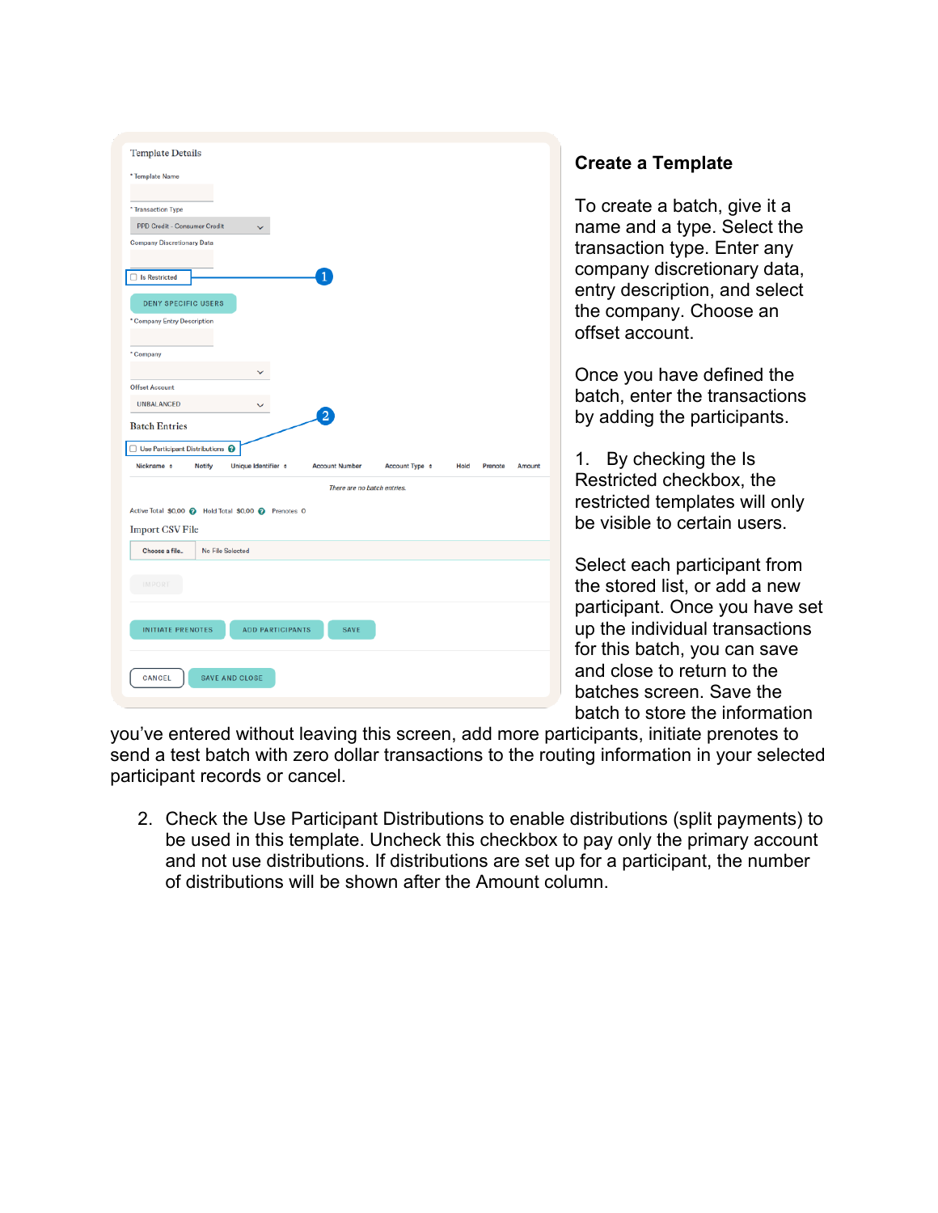| <b>Template Details</b>                              |                         |                       |                             |                 |        |
|------------------------------------------------------|-------------------------|-----------------------|-----------------------------|-----------------|--------|
|                                                      |                         |                       |                             |                 |        |
| * Template Name                                      |                         |                       |                             |                 |        |
|                                                      |                         |                       |                             |                 |        |
| * Transaction Type                                   |                         |                       |                             |                 |        |
| PPD Credit - Consumer Credit                         | $\checkmark$            |                       |                             |                 |        |
| <b>Company Discretionary Data</b>                    |                         |                       |                             |                 |        |
|                                                      |                         |                       |                             |                 |        |
| Is Restricted                                        |                         |                       |                             |                 |        |
| <b>DENY SPECIFIC USERS</b>                           |                         |                       |                             |                 |        |
| * Company Entry Description                          |                         |                       |                             |                 |        |
|                                                      |                         |                       |                             |                 |        |
| * Company                                            |                         |                       |                             |                 |        |
|                                                      | $\checkmark$            |                       |                             |                 |        |
| <b>Offset Account</b>                                |                         |                       |                             |                 |        |
| <b>UNBALANCED</b>                                    |                         |                       |                             |                 |        |
|                                                      |                         | 2                     |                             |                 |        |
| <b>Batch Entries</b>                                 |                         |                       |                             |                 |        |
|                                                      |                         |                       |                             |                 |        |
| $\Box$ Use Participant Distributions $\bigcirc$      |                         |                       |                             |                 |        |
| Nickname e<br>Notify                                 | Unique Identifier ¢     | <b>Account Number</b> | Account Type e              | Hold<br>Prenote | Amount |
|                                                      |                         |                       |                             |                 |        |
|                                                      |                         |                       | There are no batch entries. |                 |        |
| Active Total \$0.00 @ Hold Total \$0.00 @ Prenotes 0 |                         |                       |                             |                 |        |
| <b>Import CSV File</b>                               |                         |                       |                             |                 |        |
| Choose a file                                        | No File Selected        |                       |                             |                 |        |
|                                                      |                         |                       |                             |                 |        |
| IMPORT                                               |                         |                       |                             |                 |        |
|                                                      |                         |                       |                             |                 |        |
|                                                      |                         |                       |                             |                 |        |
| <b>INITIATE PRENOTES</b>                             | <b>ADD PARTICIPANTS</b> | <b>SAVE</b>           |                             |                 |        |
|                                                      |                         |                       |                             |                 |        |
|                                                      |                         |                       |                             |                 |        |
| CANCEL                                               | <b>SAVE AND CLOSE</b>   |                       |                             |                 |        |

### **Create a Template**

To create a batch, give it a name and a type. Select the transaction type. Enter any company discretionary data, entry description, and select the company. Choose an offset account.

Once you have defined the batch, enter the transactions by adding the participants.

1. By checking the Is Restricted checkbox, the restricted templates will only be visible to certain users.

Select each participant from the stored list, or add a new participant. Once you have set up the individual transactions for this batch, you can save and close to return to the batches screen. Save the batch to store the information

you've entered without leaving this screen, add more participants, initiate prenotes to send a test batch with zero dollar transactions to the routing information in your selected participant records or cancel.

2. Check the Use Participant Distributions to enable distributions (split payments) to be used in this template. Uncheck this checkbox to pay only the primary account and not use distributions. If distributions are set up for a participant, the number of distributions will be shown after the Amount column.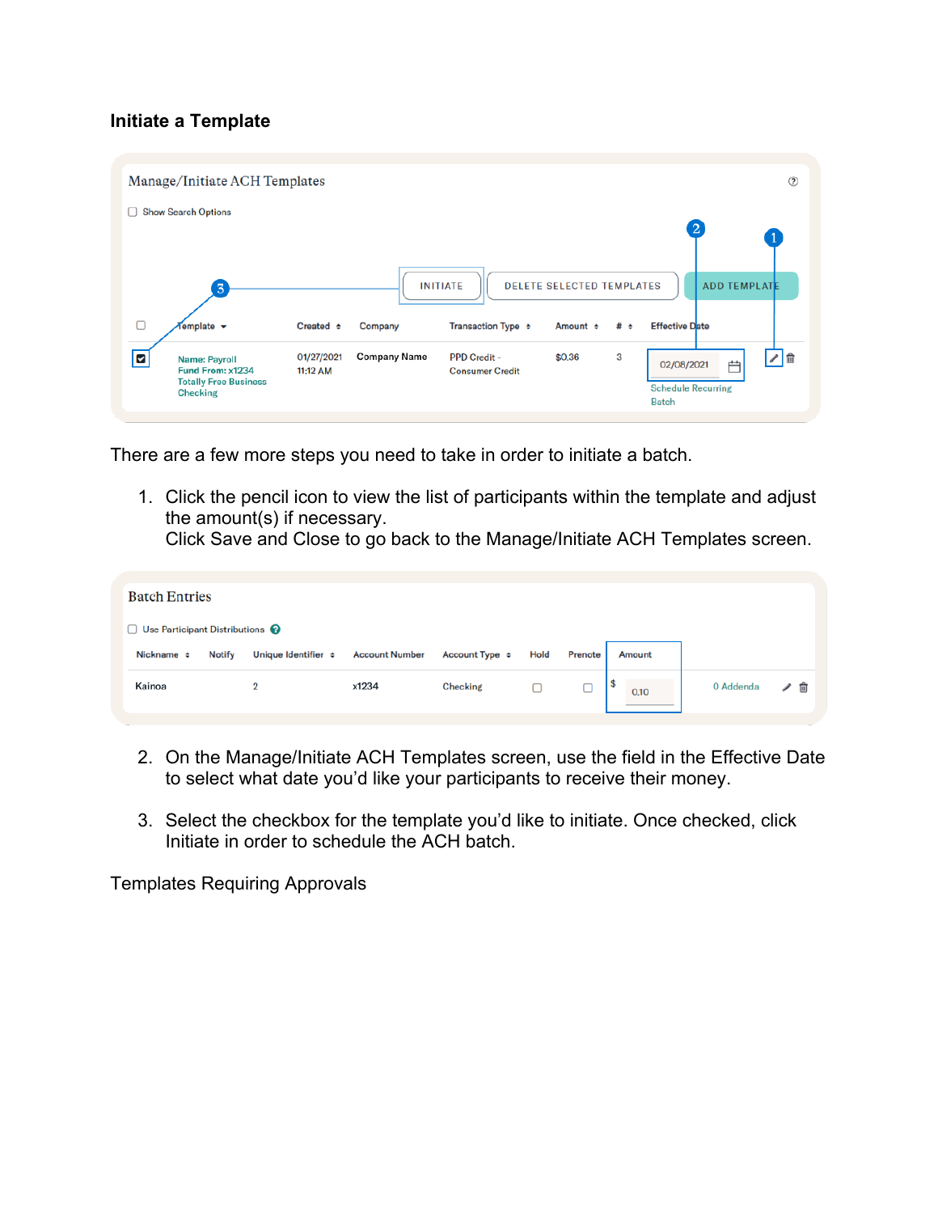#### **Initiate a Template**

|        | Manage/Initiate ACH Templates                                                               |                        |                     |                                               |                                              |          | $\circledR$                                                        |
|--------|---------------------------------------------------------------------------------------------|------------------------|---------------------|-----------------------------------------------|----------------------------------------------|----------|--------------------------------------------------------------------|
| ш      | <b>Show Search Options</b>                                                                  |                        |                     |                                               |                                              |          | $\overline{a}$<br>$\left  \right $                                 |
| $\Box$ | $\overline{3}$<br>$f$ emplate $\rightarrow$                                                 | Created $\div$         | Company             | <b>INITIATE</b><br>Transaction Type $\div$    | <b>DELETE SELECTED TEMPLATES</b><br>Amount ÷ | # $\div$ | <b>ADD TEMPLATE</b><br><b>Effective Date</b>                       |
| ☑      | <b>Name: Payroll</b><br>Fund From: x1234<br><b>Totally Free Business</b><br><b>Checking</b> | 01/27/2021<br>11:12 AM | <b>Company Name</b> | <b>PPD Credit -</b><br><b>Consumer Credit</b> | \$0,36                                       | 3        | 上面<br>曲<br>02/08/2021<br><b>Schedule Recurring</b><br><b>Batch</b> |

There are a few more steps you need to take in order to initiate a batch.

1. Click the pencil icon to view the list of participants within the template and adjust the amount(s) if necessary.

Click Save and Close to go back to the Manage/Initiate ACH Templates screen.

| <b>Batch Entries</b>                            |               |                          |                       |                     |      |         |           |           |   |  |
|-------------------------------------------------|---------------|--------------------------|-----------------------|---------------------|------|---------|-----------|-----------|---|--|
| $\Box$ Use Participant Distributions $\bigcirc$ |               |                          |                       |                     |      |         |           |           |   |  |
| Nickname $\Leftrightarrow$                      | <b>Notify</b> | Unique Identifier $\div$ | <b>Account Number</b> | Account Type $\div$ | Hold | Prenote | Amount    |           |   |  |
| Kainoa                                          |               | 2                        | x1234                 | Checking            |      |         | ъ<br>0.10 | 0 Addenda | û |  |

- 2. On the Manage/Initiate ACH Templates screen, use the field in the Effective Date to select what date you'd like your participants to receive their money.
- 3. Select the checkbox for the template you'd like to initiate. Once checked, click Initiate in order to schedule the ACH batch.

Templates Requiring Approvals